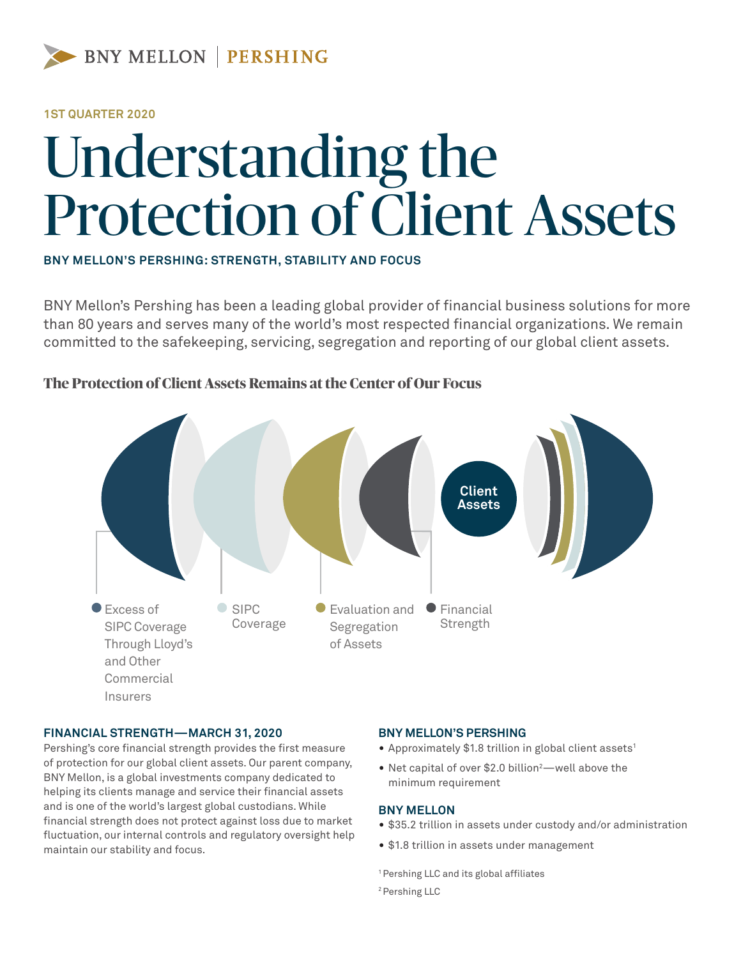

## **1ST QUARTER 2020**

# Understanding the Protection of Client Assets

**BNY MELLON'S PERSHING: STRENGTH, STABILITY AND FOCUS**

BNY Mellon's Pershing has been a leading global provider of financial business solutions for more than 80 years and serves many of the world's most respected financial organizations. We remain committed to the safekeeping, servicing, segregation and reporting of our global client assets.



## **The Protection of Client Assets Remains at the Center of Our Focus**

#### **FINANCIAL STRENGTH—MARCH 31, 2020**

Pershing's core financial strength provides the first measure of protection for our global client assets. Our parent company, BNY Mellon, is a global investments company dedicated to helping its clients manage and service their financial assets and is one of the world's largest global custodians. While financial strength does not protect against loss due to market fluctuation, our internal controls and regulatory oversight help maintain our stability and focus.

## **BNY MELLON'S PERSHING**

- Approximately \$1.8 trillion in global client assets<sup>1</sup>
- Net capital of over \$2.0 billion<sup>2</sup>—well above the minimum requirement

#### **BNY MELLON**

- \$35.2 trillion in assets under custody and/or administration
- \$1.8 trillion in assets under management

1 Pershing LLC and its global affiliates 2 Pershing LLC